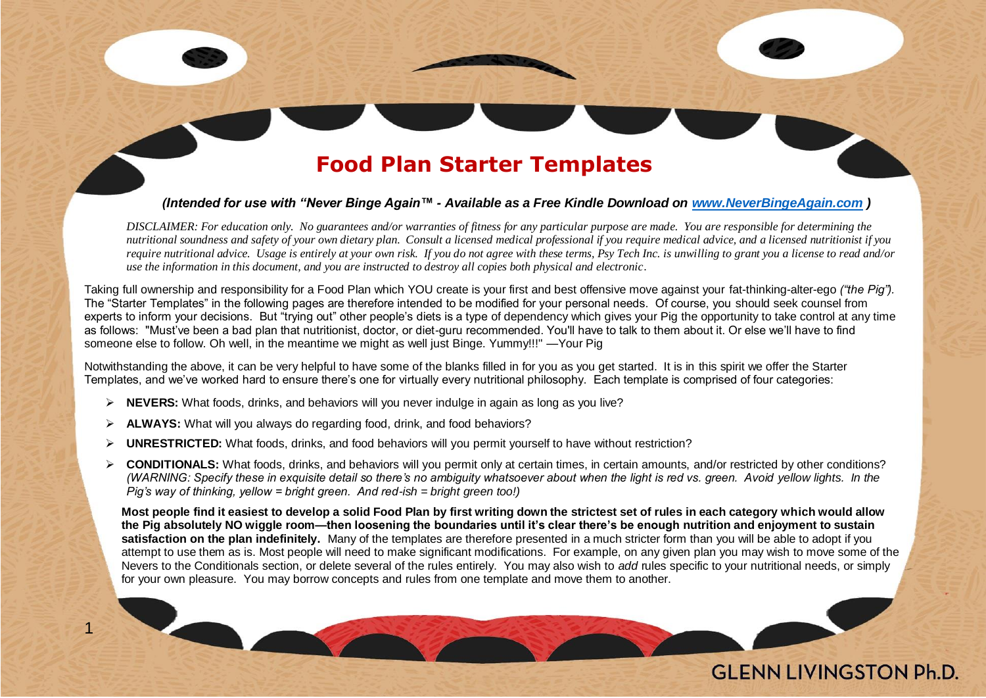#### **Food Plan Starter Templates**

#### *(Intended for use with "Never Binge Again™ - Available as a Free Kindle Download on [www.NeverBingeAgain.com](http://www.neverbingeagain.com/) )*

*DISCLAIMER: For education only. No guarantees and/or warranties of fitness for any particular purpose are made. You are responsible for determining the nutritional soundness and safety of your own dietary plan. Consult a licensed medical professional if you require medical advice, and a licensed nutritionist if you require nutritional advice. Usage is entirely at your own risk. If you do not agree with these terms, Psy Tech Inc. is unwilling to grant you a license to read and/or use the information in this document, and you are instructed to destroy all copies both physical and electronic*.

Taking full ownership and responsibility for a Food Plan which YOU create is your first and best offensive move against your fat-thinking-alter-ego *("the Pig").* The "Starter Templates" in the following pages are therefore intended to be modified for your personal needs. Of course, you should seek counsel from experts to inform your decisions. But "trying out" other people's diets is a type of dependency which gives your Pig the opportunity to take control at any time as follows: "Must've been a bad plan that nutritionist, doctor, or diet-guru recommended. You'll have to talk to them about it. Or else we'll have to find someone else to follow. Oh well, in the meantime we might as well just Binge. Yummy!!!" —Your Pig

Notwithstanding the above, it can be very helpful to have some of the blanks filled in for you as you get started. It is in this spirit we offer the Starter Templates, and we've worked hard to ensure there's one for virtually every nutritional philosophy. Each template is comprised of four categories:

- ➢ **NEVERS:** What foods, drinks, and behaviors will you never indulge in again as long as you live?
- ➢ **ALWAYS:** What will you always do regarding food, drink, and food behaviors?

1

- ➢ **UNRESTRICTED:** What foods, drinks, and food behaviors will you permit yourself to have without restriction?
- ➢ **CONDITIONALS:** What foods, drinks, and behaviors will you permit only at certain times, in certain amounts, and/or restricted by other conditions? *(WARNING: Specify these in exquisite detail so there's no ambiguity whatsoever about when the light is red vs. green. Avoid yellow lights. In the Pig's way of thinking, yellow = bright green. And red-ish = bright green too!)*

**Most people find it easiest to develop a solid Food Plan by first writing down the strictest set of rules in each category which would allow the Pig absolutely NO wiggle room—then loosening the boundaries until it's clear there's be enough nutrition and enjoyment to sustain satisfaction on the plan indefinitely.** Many of the templates are therefore presented in a much stricter form than you will be able to adopt if you attempt to use them as is. Most people will need to make significant modifications. For example, on any given plan you may wish to move some of the Nevers to the Conditionals section, or delete several of the rules entirely. You may also wish to *add* rules specific to your nutritional needs, or simply for your own pleasure. You may borrow concepts and rules from one template and move them to another.

#### **GI ENN LIVINGSTON Ph.D.**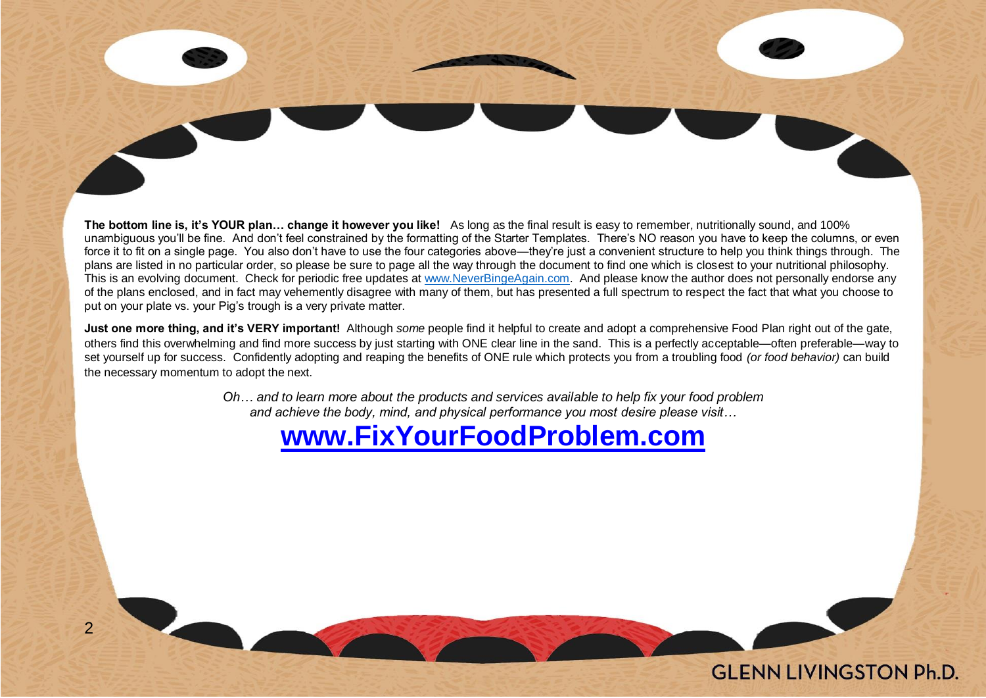**The bottom line is, it's YOUR plan… change it however you like!** As long as the final result is easy to remember, nutritionally sound, and 100% unambiguous you'll be fine. And don't feel constrained by the formatting of the Starter Templates. There's NO reason you have to keep the columns, or even force it to fit on a single page. You also don't have to use the four categories above—they're just a convenient structure to help you think things through. The plans are listed in no particular order, so please be sure to page all the way through the document to find one which is closest to your nutritional philosophy. This is an evolving document. Check for periodic free updates at [www.NeverBingeAgain.com.](http://www.neverbingeagain.com/) And please know the author does not personally endorse any of the plans enclosed, and in fact may vehemently disagree with many of them, but has presented a full spectrum to respect the fact that what you choose to put on your plate vs. your Pig's trough is a very private matter.

**Just one more thing, and it's VERY important!** Although *some* people find it helpful to create and adopt a comprehensive Food Plan right out of the gate, others find this overwhelming and find more success by just starting with ONE clear line in the sand. This is a perfectly acceptable—often preferable—way to set yourself up for success. Confidently adopting and reaping the benefits of ONE rule which protects you from a troubling food *(or food behavior)* can build the necessary momentum to adopt the next.

> *Oh… and to learn more about the products and services available to help fix your food problem and achieve the body, mind, and physical performance you most desire please visit…*

### **[www.FixYourFoodProblem.com](http://www.fixyourfoodproblem.com/)**

**GI ENN LIVINGSTON Ph.D.** 

 $\overline{2}$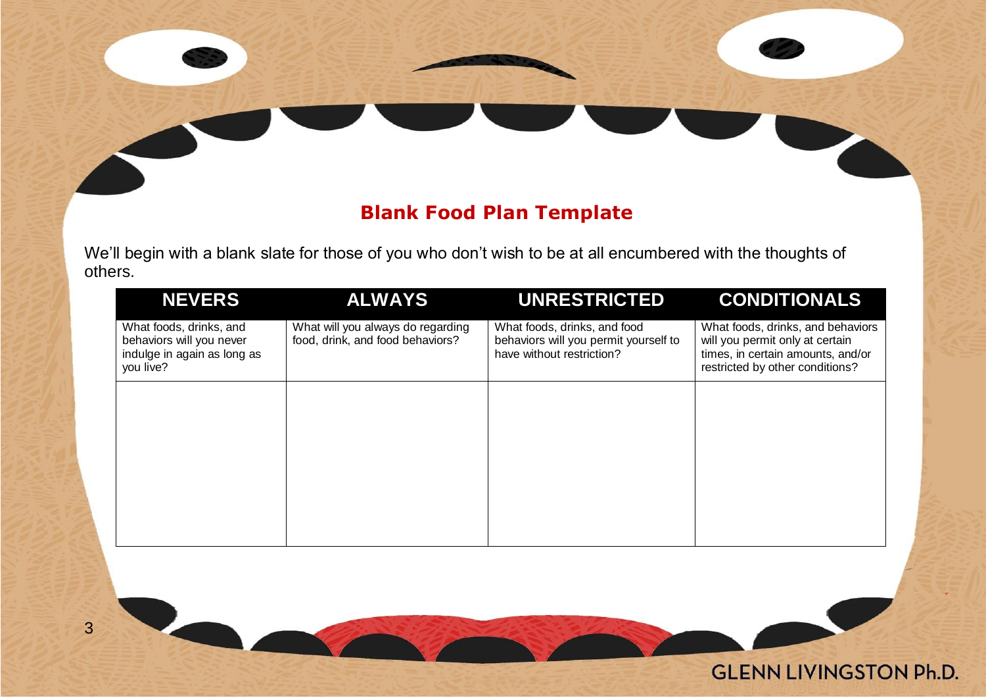#### **Blank Food Plan Template**

We'll begin with a blank slate for those of you who don't wish to be at all encumbered with the thoughts of others.

| <b>NEVERS</b>                                                                                   | <b>ALWAYS</b>                                                         | <b>UNRESTRICTED</b>                                                                                | <b>CONDITIONALS</b>                                                                                                                          |
|-------------------------------------------------------------------------------------------------|-----------------------------------------------------------------------|----------------------------------------------------------------------------------------------------|----------------------------------------------------------------------------------------------------------------------------------------------|
| What foods, drinks, and<br>behaviors will you never<br>indulge in again as long as<br>you live? | What will you always do regarding<br>food, drink, and food behaviors? | What foods, drinks, and food<br>behaviors will you permit yourself to<br>have without restriction? | What foods, drinks, and behaviors<br>will you permit only at certain<br>times, in certain amounts, and/or<br>restricted by other conditions? |
|                                                                                                 |                                                                       |                                                                                                    |                                                                                                                                              |
|                                                                                                 |                                                                       |                                                                                                    |                                                                                                                                              |
|                                                                                                 |                                                                       |                                                                                                    |                                                                                                                                              |
|                                                                                                 |                                                                       |                                                                                                    |                                                                                                                                              |
|                                                                                                 |                                                                       |                                                                                                    |                                                                                                                                              |

**GLENN LIVINGSTON Ph.D.** 

3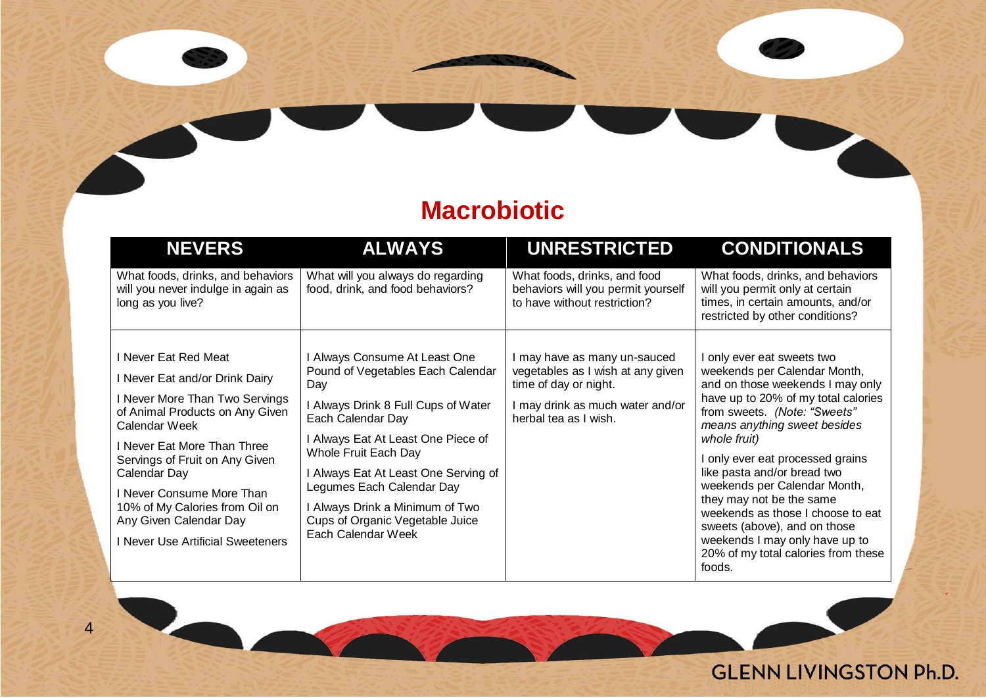### **Macrobiotic**

| <b>NEVERS</b>                                                                                                                                                                                                                                                                                                                                               | <b>ALWAYS</b>                                                                                                                                                                                                                                                                                                                                                        | <b>UNRESTRICTED</b>                                                                                                                                   | <b>CONDITIONALS</b>                                                                                                                                                                                                                                                                                                                                                                                                                                                                                |
|-------------------------------------------------------------------------------------------------------------------------------------------------------------------------------------------------------------------------------------------------------------------------------------------------------------------------------------------------------------|----------------------------------------------------------------------------------------------------------------------------------------------------------------------------------------------------------------------------------------------------------------------------------------------------------------------------------------------------------------------|-------------------------------------------------------------------------------------------------------------------------------------------------------|----------------------------------------------------------------------------------------------------------------------------------------------------------------------------------------------------------------------------------------------------------------------------------------------------------------------------------------------------------------------------------------------------------------------------------------------------------------------------------------------------|
| What foods, drinks, and behaviors<br>will you never indulge in again as<br>long as you live?                                                                                                                                                                                                                                                                | What will you always do regarding<br>food, drink, and food behaviors?                                                                                                                                                                                                                                                                                                | What foods, drinks, and food<br>behaviors will you permit yourself<br>to have without restriction?                                                    | What foods, drinks, and behaviors<br>will you permit only at certain<br>times, in certain amounts, and/or<br>restricted by other conditions?                                                                                                                                                                                                                                                                                                                                                       |
| I Never Eat Red Meat<br>I Never Eat and/or Drink Dairy<br>I Never More Than Two Servings<br>of Animal Products on Any Given<br>Calendar Week<br>I Never Eat More Than Three<br>Servings of Fruit on Any Given<br>Calendar Day<br>I Never Consume More Than<br>10% of My Calories from Oil on<br>Any Given Calendar Day<br>I Never Use Artificial Sweeteners | I Always Consume At Least One<br>Pound of Vegetables Each Calendar<br>Day<br>I Always Drink 8 Full Cups of Water<br>Each Calendar Day<br>I Always Eat At Least One Piece of<br>Whole Fruit Each Day<br>I Always Eat At Least One Serving of<br>Legumes Each Calendar Day<br>I Always Drink a Minimum of Two<br>Cups of Organic Vegetable Juice<br>Each Calendar Week | I may have as many un-sauced<br>vegetables as I wish at any given<br>time of day or night.<br>may drink as much water and/or<br>herbal tea as I wish. | I only ever eat sweets two<br>weekends per Calendar Month,<br>and on those weekends I may only<br>have up to 20% of my total calories<br>from sweets. (Note: "Sweets"<br>means anything sweet besides<br>whole fruit)<br>I only ever eat processed grains<br>like pasta and/or bread two<br>weekends per Calendar Month,<br>they may not be the same<br>weekends as those I choose to eat<br>sweets (above), and on those<br>weekends I may only have up to<br>20% of my total calories from these |



#### **GLENN LIVINGSTON Ph.D.**

'Z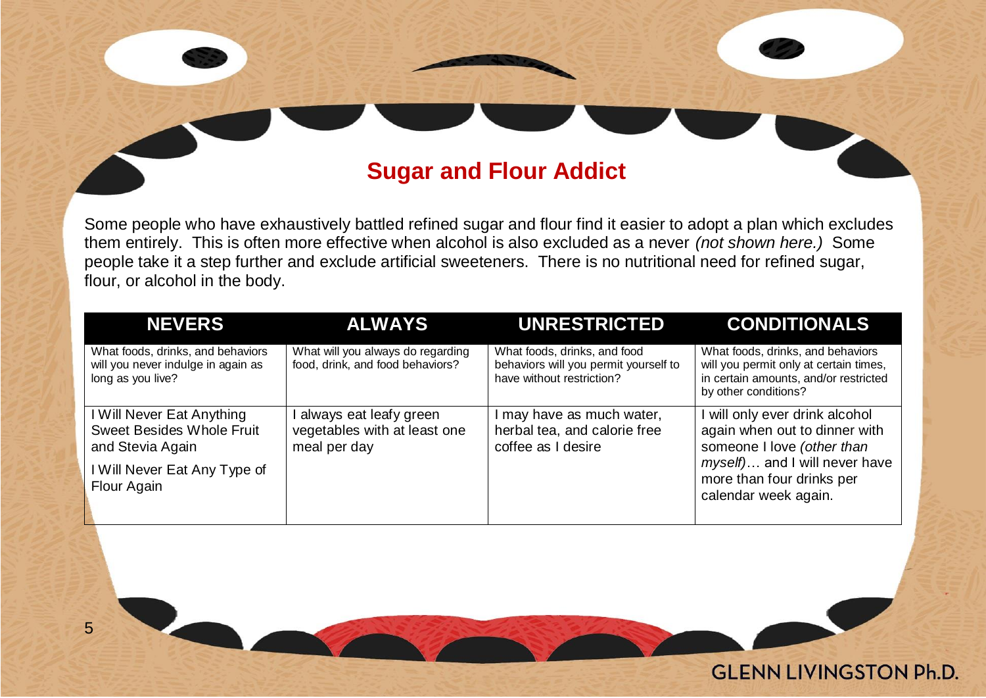#### **Sugar and Flour Addict**

Some people who have exhaustively battled refined sugar and flour find it easier to adopt a plan which excludes them entirely. This is often more effective when alcohol is also excluded as a never *(not shown here.)* Some people take it a step further and exclude artificial sweeteners. There is no nutritional need for refined sugar, flour, or alcohol in the body.

| <b>NEVERS</b>                                                                                | <b>ALWAYS</b>                                                          | <b>UNRESTRICTED</b>                                                                                | <b>CONDITIONALS</b>                                                                                                                          |
|----------------------------------------------------------------------------------------------|------------------------------------------------------------------------|----------------------------------------------------------------------------------------------------|----------------------------------------------------------------------------------------------------------------------------------------------|
| What foods, drinks, and behaviors<br>will you never indulge in again as<br>long as you live? | What will you always do regarding<br>food, drink, and food behaviors?  | What foods, drinks, and food<br>behaviors will you permit yourself to<br>have without restriction? | What foods, drinks, and behaviors<br>will you permit only at certain times,<br>in certain amounts, and/or restricted<br>by other conditions? |
| I Will Never Eat Anything<br><b>Sweet Besides Whole Fruit</b><br>and Stevia Again            | always eat leafy green<br>vegetables with at least one<br>meal per day | I may have as much water,<br>herbal tea, and calorie free<br>coffee as I desire                    | I will only ever drink alcohol<br>again when out to dinner with<br>someone I love (other than                                                |
| I Will Never Eat Any Type of<br>Flour Again                                                  |                                                                        |                                                                                                    | myself) and I will never have<br>more than four drinks per<br>calendar week again.                                                           |

**GLENN LIVINGSTON Ph.D.**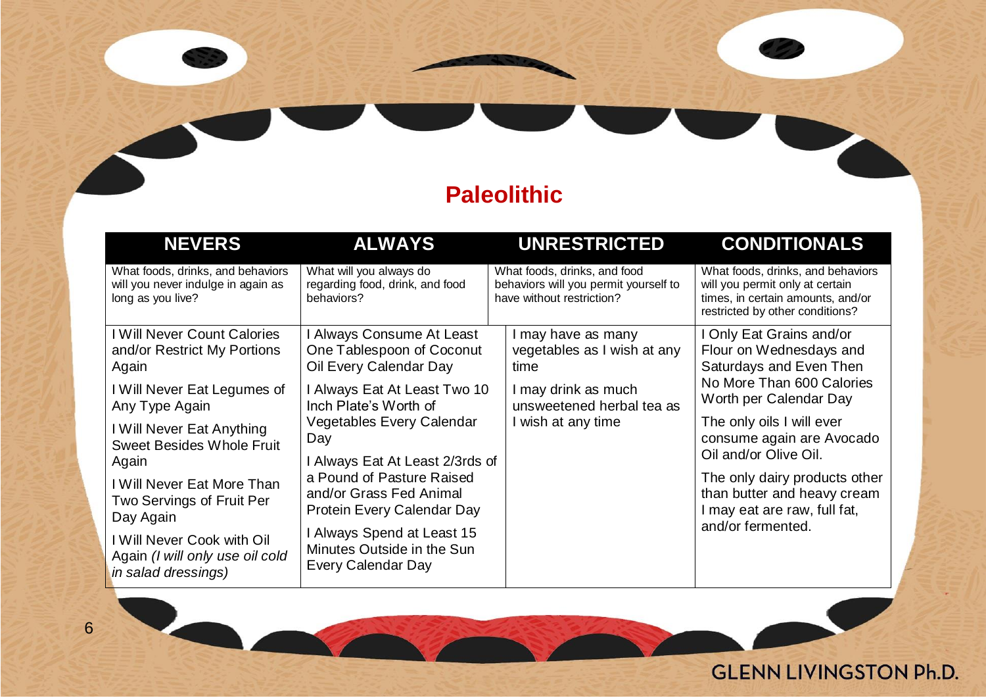### **Paleolithic**

| <b>NEVERS</b>                                                                                | <b>ALWAYS</b>                                                                  | <b>UNRESTRICTED</b>                                                                                | <b>CONDITIONALS</b>                                                                                                                          |
|----------------------------------------------------------------------------------------------|--------------------------------------------------------------------------------|----------------------------------------------------------------------------------------------------|----------------------------------------------------------------------------------------------------------------------------------------------|
| What foods, drinks, and behaviors<br>will you never indulge in again as<br>long as you live? | What will you always do<br>regarding food, drink, and food<br>behaviors?       | What foods, drinks, and food<br>behaviors will you permit yourself to<br>have without restriction? | What foods, drinks, and behaviors<br>will you permit only at certain<br>times, in certain amounts, and/or<br>restricted by other conditions? |
| I Will Never Count Calories                                                                  | I Always Consume At Least                                                      | I may have as many                                                                                 | I Only Eat Grains and/or                                                                                                                     |
| and/or Restrict My Portions                                                                  | One Tablespoon of Coconut                                                      | vegetables as I wish at any                                                                        | Flour on Wednesdays and                                                                                                                      |
| Again                                                                                        | Oil Every Calendar Day                                                         | time                                                                                               | Saturdays and Even Then                                                                                                                      |
| I Will Never Eat Legumes of                                                                  | I Always Eat At Least Two 10                                                   | I may drink as much                                                                                | No More Than 600 Calories                                                                                                                    |
| Any Type Again                                                                               | Inch Plate's Worth of                                                          | unsweetened herbal tea as                                                                          | Worth per Calendar Day                                                                                                                       |
| l Will Never Eat Anything                                                                    | Vegetables Every Calendar                                                      | I wish at any time                                                                                 | The only oils I will ever                                                                                                                    |
| <b>Sweet Besides Whole Fruit</b>                                                             | Day                                                                            |                                                                                                    | consume again are Avocado                                                                                                                    |
| Again                                                                                        | I Always Eat At Least 2/3rds of                                                |                                                                                                    | Oil and/or Olive Oil.                                                                                                                        |
| l Will Never Eat More Than                                                                   | a Pound of Pasture Raised                                                      |                                                                                                    | The only dairy products other                                                                                                                |
| Two Servings of Fruit Per                                                                    | and/or Grass Fed Animal                                                        |                                                                                                    | than butter and heavy cream                                                                                                                  |
| Day Again                                                                                    | Protein Every Calendar Day                                                     |                                                                                                    | I may eat are raw, full fat,                                                                                                                 |
| Will Never Cook with Oil<br>Again (I will only use oil cold<br>in salad dressings)           | I Always Spend at Least 15<br>Minutes Outside in the Sun<br>Every Calendar Day |                                                                                                    | and/or fermented.                                                                                                                            |

#### **GLENN LIVINGSTON Ph.D.**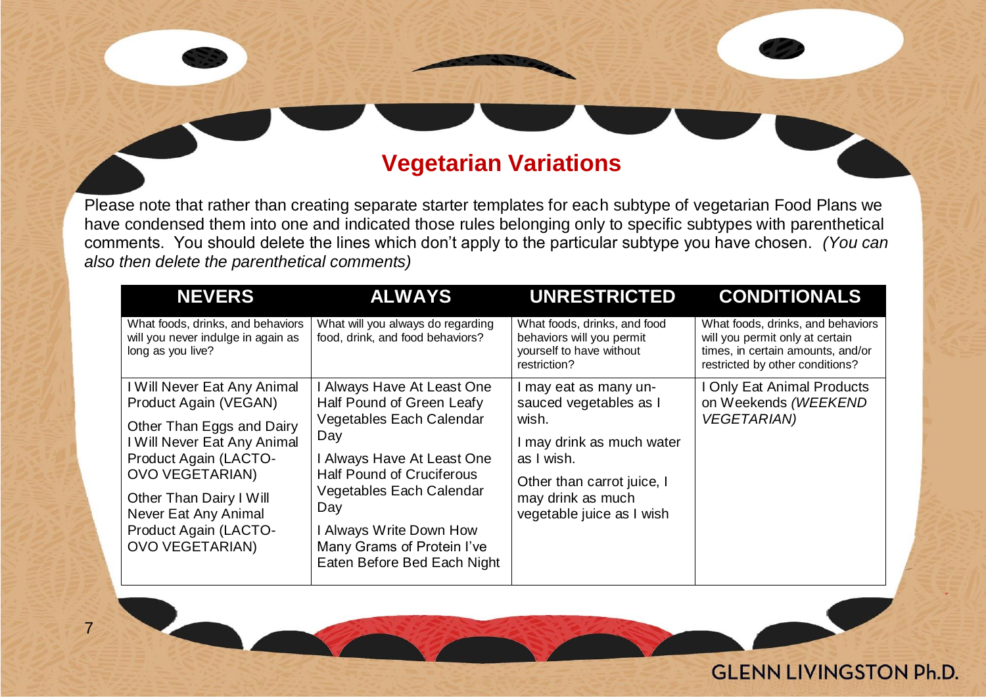#### **Vegetarian Variations**

Please note that rather than creating separate starter templates for each subtype of vegetarian Food Plans we have condensed them into one and indicated those rules belonging only to specific subtypes with parenthetical comments. You should delete the lines which don't apply to the particular subtype you have chosen. *(You can also then delete the parenthetical comments)*

| <b>NEVERS</b>                                                                                                                                                                                                                                                             | <b>ALWAYS</b>                                                                                                                                                                                                                                                                           | <b>UNRESTRICTED</b>                                                                                                                                                                 | <b>CONDITIONALS</b>                                                                                                                          |
|---------------------------------------------------------------------------------------------------------------------------------------------------------------------------------------------------------------------------------------------------------------------------|-----------------------------------------------------------------------------------------------------------------------------------------------------------------------------------------------------------------------------------------------------------------------------------------|-------------------------------------------------------------------------------------------------------------------------------------------------------------------------------------|----------------------------------------------------------------------------------------------------------------------------------------------|
| What foods, drinks, and behaviors<br>will you never indulge in again as<br>long as you live?                                                                                                                                                                              | What will you always do regarding<br>food, drink, and food behaviors?                                                                                                                                                                                                                   | What foods, drinks, and food<br>behaviors will you permit<br>yourself to have without<br>restriction?                                                                               | What foods, drinks, and behaviors<br>will you permit only at certain<br>times, in certain amounts, and/or<br>restricted by other conditions? |
| I Will Never Eat Any Animal<br>Product Again (VEGAN)<br>Other Than Eggs and Dairy<br>I Will Never Eat Any Animal<br>Product Again (LACTO-<br><b>OVO VEGETARIAN)</b><br>Other Than Dairy I Will<br>Never Eat Any Animal<br>Product Again (LACTO-<br><b>OVO VEGETARIAN)</b> | I Always Have At Least One<br>Half Pound of Green Leafy<br>Vegetables Each Calendar<br>Day<br>I Always Have At Least One<br><b>Half Pound of Cruciferous</b><br>Vegetables Each Calendar<br>Day<br>I Always Write Down How<br>Many Grams of Protein I've<br>Eaten Before Bed Each Night | I may eat as many un-<br>sauced vegetables as I<br>wish.<br>I may drink as much water<br>as I wish.<br>Other than carrot juice, I<br>may drink as much<br>vegetable juice as I wish | I Only Eat Animal Products<br>on Weekends (WEEKEND<br><b>VEGETARIAN)</b>                                                                     |

**GLENN LIVINGSTON Ph.D.**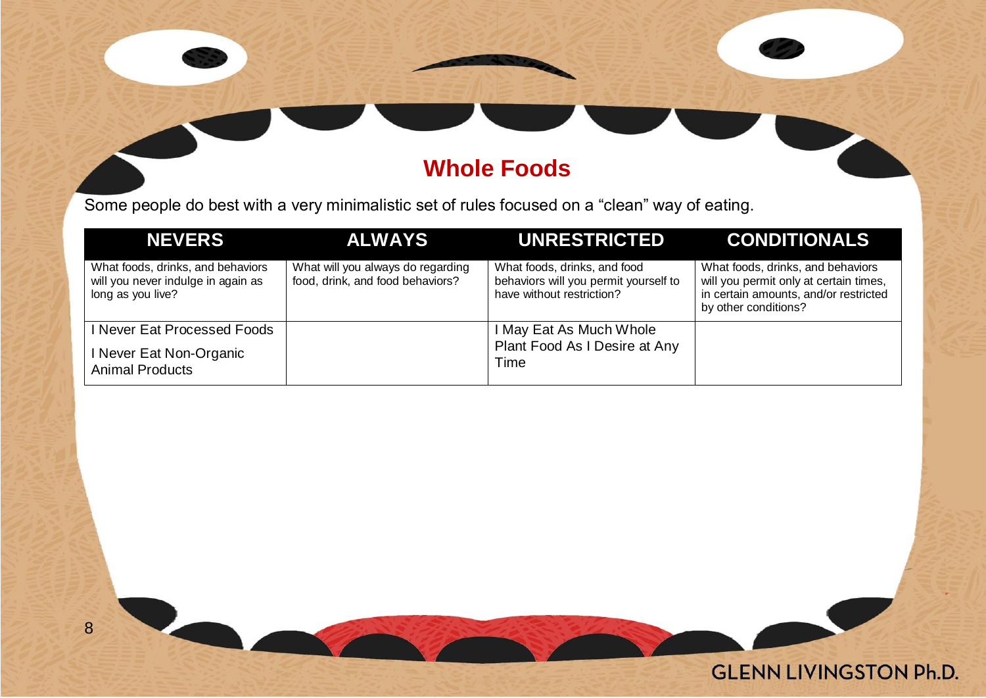### **Whole Foods**

Some people do best with a very minimalistic set of rules focused on a "clean" way of eating.

| <b>NEVERS</b>                                                                                | <b>ALWAYS</b>                                                         | <b>UNRESTRICTED</b>                                                                                | <b>CONDITIONALS</b>                                                                                                                          |
|----------------------------------------------------------------------------------------------|-----------------------------------------------------------------------|----------------------------------------------------------------------------------------------------|----------------------------------------------------------------------------------------------------------------------------------------------|
| What foods, drinks, and behaviors<br>will you never indulge in again as<br>long as you live? | What will you always do regarding<br>food, drink, and food behaviors? | What foods, drinks, and food<br>behaviors will you permit yourself to<br>have without restriction? | What foods, drinks, and behaviors<br>will you permit only at certain times,<br>in certain amounts, and/or restricted<br>by other conditions? |
| I Never Eat Processed Foods                                                                  |                                                                       | I May Eat As Much Whole                                                                            |                                                                                                                                              |
| I Never Eat Non-Organic<br><b>Animal Products</b>                                            |                                                                       | Plant Food As I Desire at Any<br>Time                                                              |                                                                                                                                              |

8

**GLENN LIVINGSTON Ph.D.**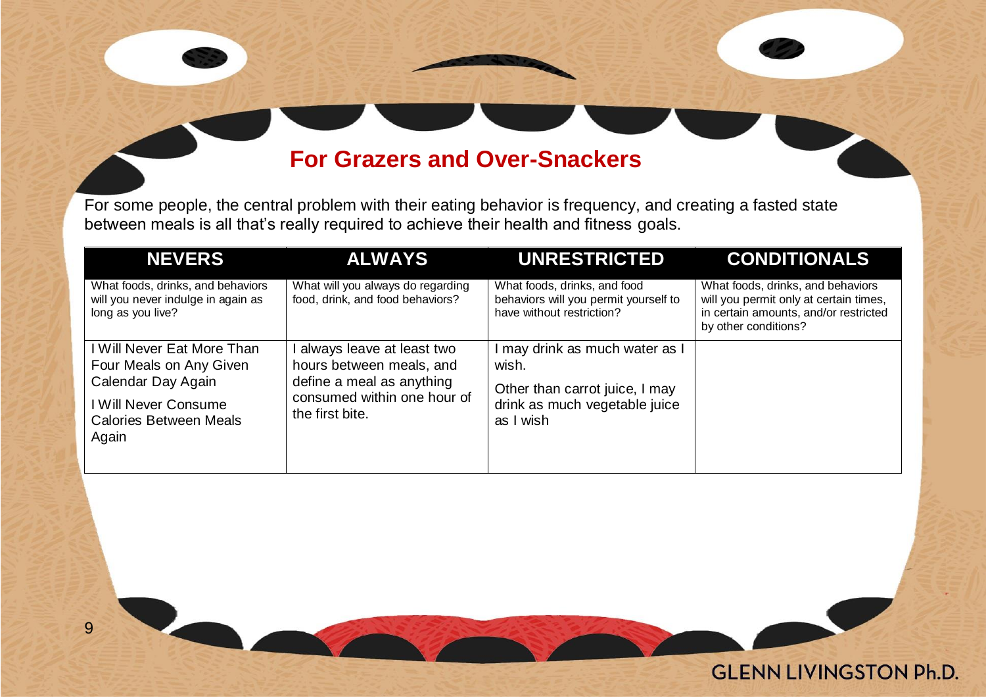#### **For Grazers and Over-Snackers**

For some people, the central problem with their eating behavior is frequency, and creating a fasted state between meals is all that's really required to achieve their health and fitness goals.

| <b>NEVERS</b>                                                                                                                                 | <b>ALWAYS</b>                                                                                                                        | <b>UNRESTRICTED</b>                                                                                                     | <b>CONDITIONALS</b>                                                                                                                          |
|-----------------------------------------------------------------------------------------------------------------------------------------------|--------------------------------------------------------------------------------------------------------------------------------------|-------------------------------------------------------------------------------------------------------------------------|----------------------------------------------------------------------------------------------------------------------------------------------|
| What foods, drinks, and behaviors<br>will you never indulge in again as<br>long as you live?                                                  | What will you always do regarding<br>food, drink, and food behaviors?                                                                | What foods, drinks, and food<br>behaviors will you permit yourself to<br>have without restriction?                      | What foods, drinks, and behaviors<br>will you permit only at certain times,<br>in certain amounts, and/or restricted<br>by other conditions? |
| I Will Never Eat More Than<br>Four Meals on Any Given<br>Calendar Day Again<br>I Will Never Consume<br><b>Calories Between Meals</b><br>Again | always leave at least two<br>hours between meals, and<br>define a meal as anything<br>consumed within one hour of<br>the first bite. | I may drink as much water as I<br>wish.<br>Other than carrot juice, I may<br>drink as much vegetable juice<br>as I wish |                                                                                                                                              |

**GLENN LIVINGSTON Ph.D.**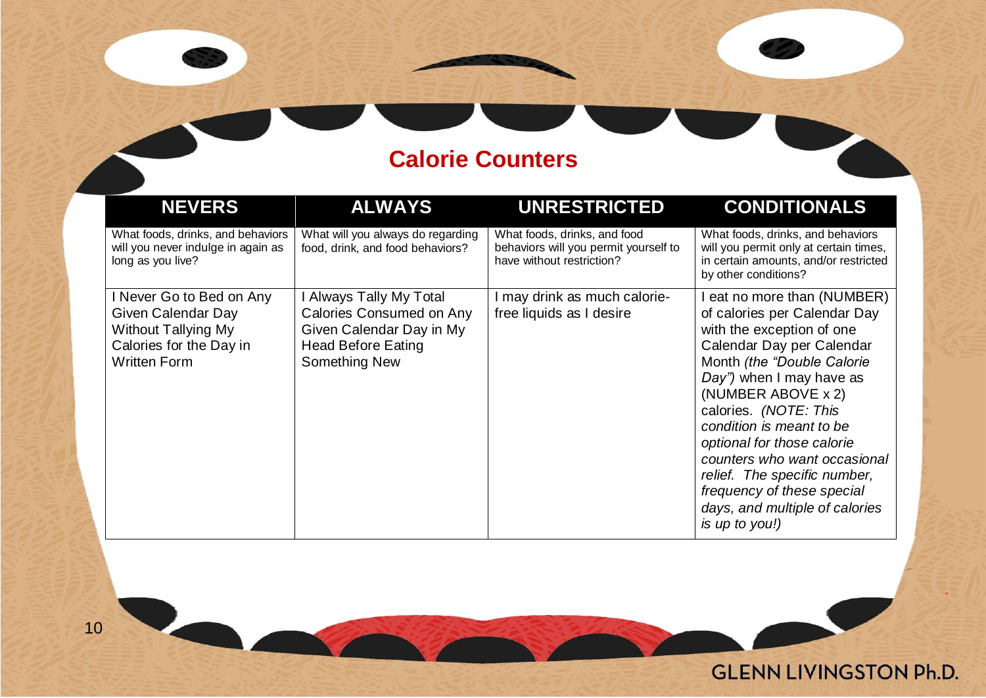### **Calorie Counters**

'Z

**GLENN LIVINGSTON Ph.D.** 

| <b>NEVERS</b>                                                                                                                  | <b>ALWAYS</b>                                                                                                                 | <b>UNRESTRICTED</b>                                                                                | <b>CONDITIONALS</b>                                                                                                                                                                                                                                                                                                                                                                                                                        |
|--------------------------------------------------------------------------------------------------------------------------------|-------------------------------------------------------------------------------------------------------------------------------|----------------------------------------------------------------------------------------------------|--------------------------------------------------------------------------------------------------------------------------------------------------------------------------------------------------------------------------------------------------------------------------------------------------------------------------------------------------------------------------------------------------------------------------------------------|
| What foods, drinks, and behaviors<br>will you never indulge in again as<br>long as you live?                                   | What will you always do regarding<br>food, drink, and food behaviors?                                                         | What foods, drinks, and food<br>behaviors will you permit yourself to<br>have without restriction? | What foods, drinks, and behaviors<br>will you permit only at certain times,<br>in certain amounts, and/or restricted<br>by other conditions?                                                                                                                                                                                                                                                                                               |
| I Never Go to Bed on Any<br>Given Calendar Day<br><b>Without Tallying My</b><br>Calories for the Day in<br><b>Written Form</b> | I Always Tally My Total<br>Calories Consumed on Any<br>Given Calendar Day in My<br><b>Head Before Eating</b><br>Something New | I may drink as much calorie-<br>free liquids as I desire                                           | I eat no more than (NUMBER)<br>of calories per Calendar Day<br>with the exception of one<br>Calendar Day per Calendar<br>Month (the "Double Calorie<br>Day") when I may have as<br>(NUMBER ABOVE x 2)<br>calories. (NOTE: This<br>condition is meant to be<br>optional for those calorie<br>counters who want occasional<br>relief. The specific number,<br>frequency of these special<br>days, and multiple of calories<br>is up to you!) |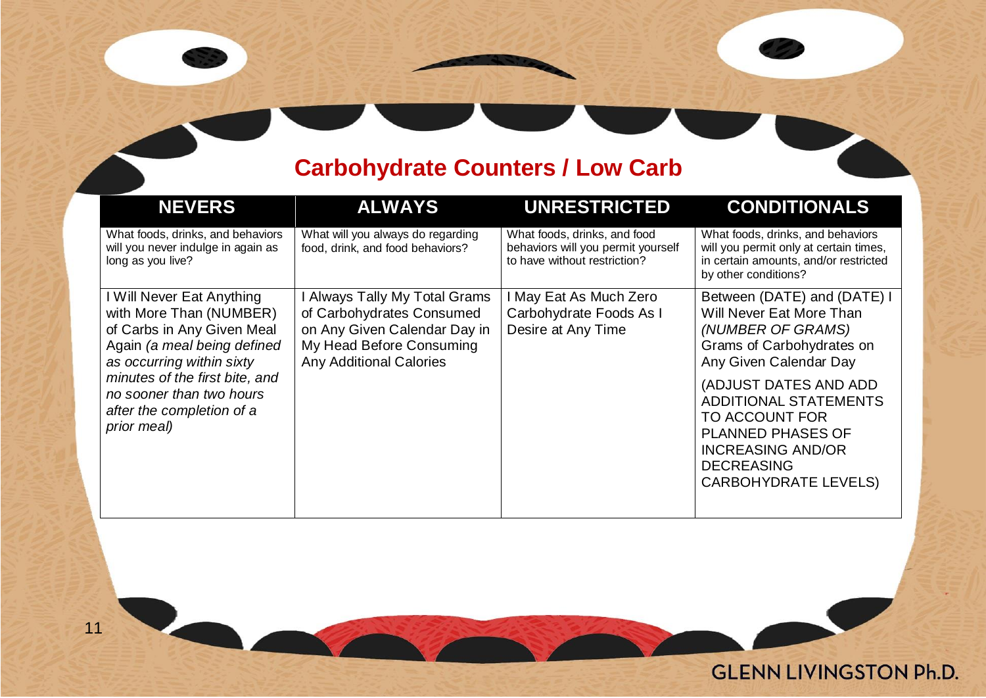### **Carbohydrate Counters / Low Carb**

| <b>NEVERS</b>                                                                                                                                  | <b>ALWAYS</b>                                                                                                                                            | <b>UNRESTRICTED</b>                                                                                | <b>CONDITIONALS</b>                                                                                                                                                                 |
|------------------------------------------------------------------------------------------------------------------------------------------------|----------------------------------------------------------------------------------------------------------------------------------------------------------|----------------------------------------------------------------------------------------------------|-------------------------------------------------------------------------------------------------------------------------------------------------------------------------------------|
| What foods, drinks, and behaviors<br>will you never indulge in again as<br>long as you live?                                                   | What will you always do regarding<br>food, drink, and food behaviors?                                                                                    | What foods, drinks, and food<br>behaviors will you permit yourself<br>to have without restriction? | What foods, drinks, and behaviors<br>will you permit only at certain times,<br>in certain amounts, and/or restricted<br>by other conditions?                                        |
| I Will Never Eat Anything<br>with More Than (NUMBER)<br>of Carbs in Any Given Meal<br>Again (a meal being defined<br>as occurring within sixty | I Always Tally My Total Grams<br>of Carbohydrates Consumed<br>on Any Given Calendar Day in<br>My Head Before Consuming<br><b>Any Additional Calories</b> | I May Eat As Much Zero<br>Carbohydrate Foods As I<br>Desire at Any Time                            | Between (DATE) and (DATE) I<br>Will Never Eat More Than<br>(NUMBER OF GRAMS)<br>Grams of Carbohydrates on<br>Any Given Calendar Day                                                 |
| minutes of the first bite, and<br>no sooner than two hours<br>after the completion of a<br>prior meal)                                         |                                                                                                                                                          |                                                                                                    | (ADJUST DATES AND ADD<br><b>ADDITIONAL STATEMENTS</b><br>TO ACCOUNT FOR<br><b>PLANNED PHASES OF</b><br><b>INCREASING AND/OR</b><br><b>DECREASING</b><br><b>CARBOHYDRATE LEVELS)</b> |

**GLENN LIVINGSTON Ph.D.**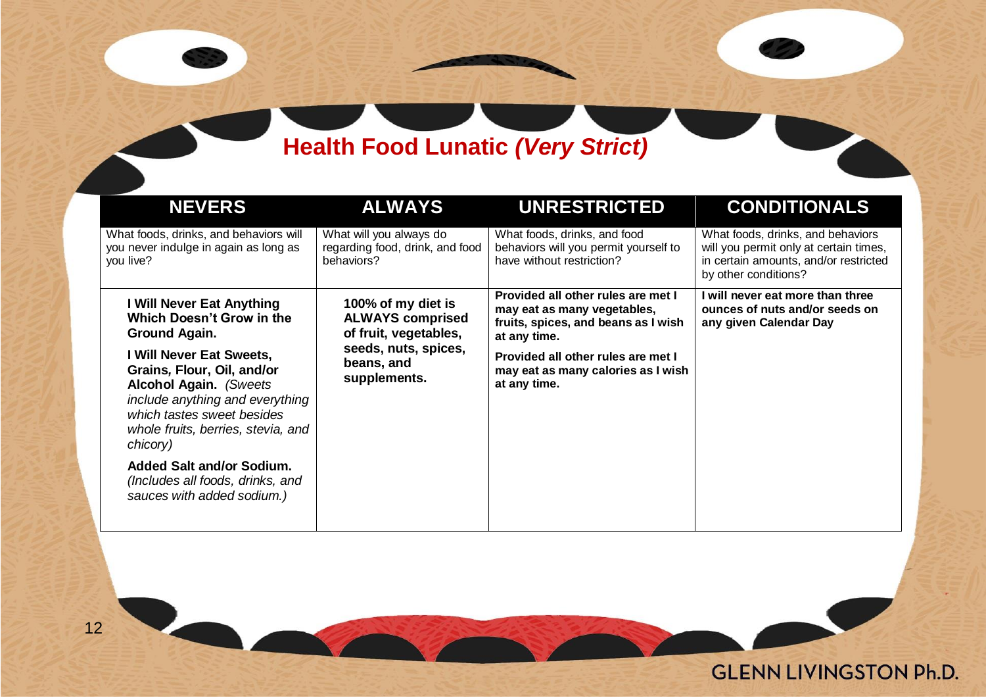## **Health Food Lunatic** *(Very Strict)*

| <b>NEVERS</b>                                                                                                                                                                                               | <b>ALWAYS</b>                                                            | <b>UNRESTRICTED</b>                                                                                                      | <b>CONDITIONALS</b>                                                                                                                          |
|-------------------------------------------------------------------------------------------------------------------------------------------------------------------------------------------------------------|--------------------------------------------------------------------------|--------------------------------------------------------------------------------------------------------------------------|----------------------------------------------------------------------------------------------------------------------------------------------|
| What foods, drinks, and behaviors will<br>you never indulge in again as long as<br>you live?                                                                                                                | What will you always do<br>regarding food, drink, and food<br>behaviors? | What foods, drinks, and food<br>behaviors will you permit yourself to<br>have without restriction?                       | What foods, drinks, and behaviors<br>will you permit only at certain times,<br>in certain amounts, and/or restricted<br>by other conditions? |
| I Will Never Eat Anything<br>Which Doesn't Grow in the<br>Ground Again.                                                                                                                                     | 100% of my diet is<br><b>ALWAYS comprised</b><br>of fruit, vegetables,   | Provided all other rules are met I<br>may eat as many vegetables,<br>fruits, spices, and beans as I wish<br>at any time. | I will never eat more than three<br>ounces of nuts and/or seeds on<br>any given Calendar Day                                                 |
| I Will Never Eat Sweets,<br>Grains, Flour, Oil, and/or<br><b>Alcohol Again.</b> (Sweets)<br>include anything and everything<br>which tastes sweet besides<br>whole fruits, berries, stevia, and<br>chicory) | seeds, nuts, spices,<br>beans, and<br>supplements.                       | Provided all other rules are met I<br>may eat as many calories as I wish<br>at any time.                                 |                                                                                                                                              |
| <b>Added Salt and/or Sodium.</b><br>(Includes all foods, drinks, and<br>sauces with added sodium.)                                                                                                          |                                                                          |                                                                                                                          |                                                                                                                                              |

**GLENN LIVINGSTON Ph.D.**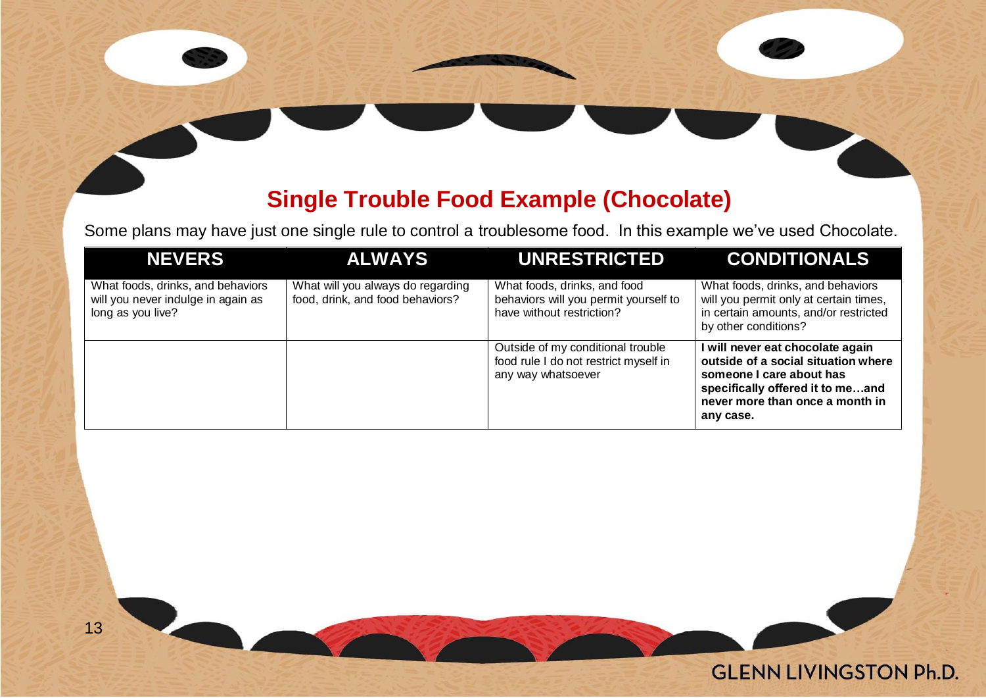### **Single Trouble Food Example (Chocolate)**

Some plans may have just one single rule to control a troublesome food. In this example we've used Chocolate.

| <b>NEVERS</b>                                                                                | <b>ALWAYS</b>                                                         | <b>UNRESTRICTED</b>                                                                                | <b>CONDITIONALS</b>                                                                                                                                                                     |
|----------------------------------------------------------------------------------------------|-----------------------------------------------------------------------|----------------------------------------------------------------------------------------------------|-----------------------------------------------------------------------------------------------------------------------------------------------------------------------------------------|
| What foods, drinks, and behaviors<br>will you never indulge in again as<br>long as you live? | What will you always do regarding<br>food, drink, and food behaviors? | What foods, drinks, and food<br>behaviors will you permit yourself to<br>have without restriction? | What foods, drinks, and behaviors<br>will you permit only at certain times,<br>in certain amounts, and/or restricted<br>by other conditions?                                            |
|                                                                                              |                                                                       | Outside of my conditional trouble<br>food rule I do not restrict myself in<br>any way whatsoever   | I will never eat chocolate again<br>outside of a social situation where<br>someone I care about has<br>specifically offered it to meand<br>never more than once a month in<br>any case. |

**GLENN LIVINGSTON Ph.D.**